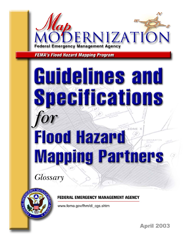

**FEMA's Flood Hazard Mapping Program** 

# Guidelines and Specifications ZO) **Flood Hazard Mapping Partners**

Glossary



FEDERAL EMERGENCY MANAGEMENT AGENCY

www.fema.gov/fhm/dl cgs.shtm

**April 2003**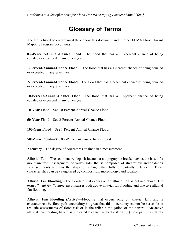# **Glossary of Terms**

The terms listed below are used throughout this document and in other FEMA Flood Hazard Mapping Program documents.

**0.2-Percent-Annual-Chance Flood**—The flood that has a 0.2-percent chance of being equaled or exceeded in any given year.

**1-Percent-Annual-Chance Flood**— The flood that has a 1-percent chance of being equaled or exceeded in any given year.

**2-Percent-Annual-Chance Flood**—The flood that has a 2-percent chance of being equaled or exceeded in any given year.

**10-Percent-Annual-Chance Flood**—The flood that has a 10-percent chance of being equaled or exceeded in any given year.

**10-Year Flood**—See 10-Percent-Annual-Chance Flood.

**50-Year Flood**—See 2-Percent-Annual-Chance Flood.

**100-Year Flood**—See 1-Percent-Annual-Chance Flood.

**500-Year Flood**—See 0.2-Percent-Annual-Chance Flood

**Accuracy**—The degree of correctness attained in a measurement.

**Alluvial Fan**—The sedimentary deposit located at a topographic break, such as the base of a mountain front, escarpment, or valley side, that is composed of streamflow and/or debris flow sediments and has the shape of a fan, either fully or partially extended. These characteristics can be categorized by composition, morphology, and location.

**Alluvial Fan Flooding**—The flooding that occurs on an alluvial fan as defined above. The term *alluvial fan flooding* encompasses both active alluvial fan flooding and inactive alluvial fan flooding.

**Alluvial Fan Flooding (Active)**—Flooding that occurs only on alluvial fans and is characterized by flow path uncertainty so great that this uncertainty cannot be set aside in realistic assessments of flood risk or in the reliable mitigation of the hazard. An active alluvial fan flooding hazard is indicated by three related criteria: (1) flow path uncertainty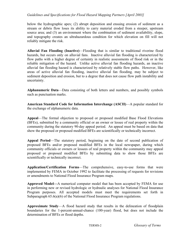below the hydrographic apex; (2) abrupt deposition and ensuing erosion of sediment as a stream or debris flow loses its ability to carry material eroded from a steeper, upstream source area; and (3) an environment where the combination of sediment availability, slope, and topography creates an ultrahazardous condition for which elevation on fill will not reliably mitigate the risk.

**Alluvial Fan Flooding (Inactive)**—Flooding that is similar to traditional riverine flood hazards, but occurs only on alluvial fans. Inactive alluvial fan flooding is characterized by flow paths with a higher degree of certainty in realistic assessments of flood risk or in the reliable mitigation of the hazard. Unlike active alluvial fan flooding hazards, an inactive alluvial fan flooding hazard is characterized by relatively stable flow paths. However, like areas of active alluvial fan flooding, inactive alluvial fan flooding*,* may be subject to sediment deposition and erosion, but to a degree that does not cause flow path instability and uncertainty.

**Alphanumeric Data**—Data consisting of both letters and numbers, and possibly symbols such as punctuation marks.

**American Standard Code for Information Interchange (ASCII)**—A popular standard for the exchange of alphanumeric data.

**Appeal**—The formal objection to proposed or proposed modified Base Flood Elevations (BFEs), submitted by a community official or an owner or lessee of real property within the community during the statutory 90-day appeal period. An appeal must be based on data that show the proposed or proposed modified BFEs are scientifically or technically incorrect.

**Appeal Period**—The statutory period, beginning on the date of second publication of proposed BFEs and/or proposed modified BFEs in the local newspaper, during which community officials or owners or lessees of real property within the community may appeal proposed or proposed modified BFEs by submitting data to show those BFEs are scientifically or technically incorrect.

**Application/Certification Forms**—The comprehensive, easy-to-use forms that were implemented by FEMA in October 1992 to facilitate the processing of requests for revisions or amendments to National Flood Insurance Program maps.

**Approved Model—**A numerical computer model that has been accepted by FEMA for use in performing new or revised hydrologic or hydraulic analyses for National Flood Insurance Program purposes. All accepted models must meet the requirements set forth in Subparagraph 65.6(a)(6) of the National Flood Insurance Program regulations.

**Approximate Study**—A flood hazard study that results in the delineation of floodplain boundaries for the 1-percent-annual-chance (100-year) flood, but does not include the determination of BFEs or flood depths.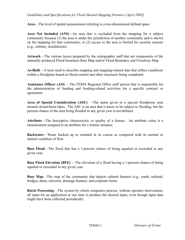**Area**—The level of spatial measurement referring to a two-dimensional defined space

**Area Not Included (ANI)**—An area that is excluded from the mapping for a subject community because (1) the area is under the jurisdiction of another community and is shown on the mapping for that community, or (2) access to the area is limited for security reasons (e.g., military installations).

**Artwork**—The various layers prepared by the cartographic staff that are components of the manually produced Flood Insurance Rate Map and/or Flood Boundary and Floodway Map.

**As-Built**—A term used to describe mapping and mapping-related data that reflect conditions within a floodplain based on flood-control and other structures being completed.

**Assistance Officer (AO)** —The FEMA Regional Office staff person that is responsible for the administration of funding and funding-related activities for a specific contract or agreement.

**Area of Special Consideration (ASC)** —The name given to a special floodprone area around closed-basin lakes. The ASC is an area that is know to be subject to flooding, but the percent chance of the area being flooded in any given year is not defined.

**Attribute**—The descriptive characteristic or quality of a feature. An attribute value is a measurement assigned to an attribute for a feature instance.

**Backwater**—Water backed up or retarded in its course as compared with its normal or natural condition of flow.

**Base Flood—The flood that has a 1-percent chance of being equaled or exceeded in any** given year.

**Base Flood Elevation (BFE)** —The elevation of a flood having a 1-percent chance of being equaled or exceeded in any given year.

**Base Map—The map of the community that depicts cultural features (e.g., roads, railroad,** bridges, dams, culverts), drainage features, and corporate limits.

**Batch Processing**—The system by which computers process, without operator intervention, all input for an application at one time to produce the desired input, even though input data might have been collected periodically.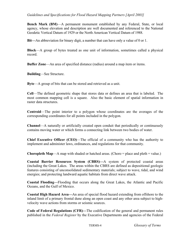**Bench Mark (BM)**—A permanent monument established by any Federal, State, or local agency, whose elevation and description are well documented and referenced to the National Geodetic Vertical Datum of 1929 or the North American Vertical Datum of 1988.

**Bit—**An abbreviation for binary digit, a number that can have only a value of 0 or 1.

**Block**—A group of bytes treated as one unit of information, sometimes called a physical record.

**Buffer Zone**—An area of specified distance (radius) around a map item or items.

**Building**—See Structure.

**Byte**—A group of bits that can be stored and retrieved as a unit.

**Cell**—The defined geometric shape that stores data or defines an area that is labeled. The most common mapping cell is a square. Also the basic element of spatial information in raster data structures.

**Centroid**—The point interior to a polygon whose coordinates are the averages of the corresponding coordinates for all points included in the polygon.

**Channel**—A naturally or artificially created open conduit that periodically or continuously contains moving water or which forms a connecting link between two bodies of water.

**Chief Executive Officer (CEO)**—The official of a community who has the authority to implement and administer laws, ordinances, and regulations for that community.

**Choropleth Map—A** map with shaded or hatched areas. (Choro  $=$  place and pleth  $=$  value.)

**Coastal Barrier Resources System (CBRS)—**A system of protected coastal areas (including the Great Lakes. The areas within the CBRS are defined as depositional geologic features consisting of unconsolidated sedimentary materials; subject to wave, tidal, and wind energies; and protecting landward aquatic habitats from direct wave attack.

**Coastal Flooding—**Flooding that occurs along the Great Lakes, the Atlantic and Pacific Oceans, and the Gulf of Mexico.

**Coastal High Hazard Area—**An area of special flood hazard extending from offshore to the inland limit of a primary frontal dune along an open coast and any other area subject to highvelocity wave actions from storms or seismic sources.

**Code of Federal Regulations (CFR)—**The codification of the general and permanent rules published in the *Federal Register* by the Executive Departments and agencies of the Federal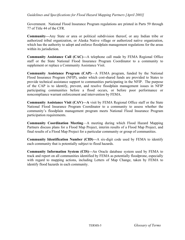Government. National Flood Insurance Program regulations are printed in Parts 59 through 77 of Title 44 of the CFR.

**Community—**Any State or area or political subdivision thereof, or any Indian tribe or authorized tribal organization, or Alaska Native village or authorized native organization, which has the authority to adopt and enforce floodplain management regulations for the areas within its jurisdiction.

**Community Assistance Call (CAC)—**A telephone call made by FEMA Regional Office staff or the State National Flood Insurance Program Coordinator to a community to supplement or replace a Community Assistance Visit.

**Community Assistance Program (CAP)**—A FEMA program, funded by the National Flood Insurance Program (NFIP), under which cost-shared funds are provided to States to provide technical assistance support to communities participating in the NFIP. The purpose of the CAP is to identify, prevent, and resolve floodplain management issues in NFIP participating communities before a flood occurs, or before poor performance or noncompliance warrant enforcement and intervention by FEMA.

**Community Assistance Visit (CAV)—A** visit by FEMA Regional Office staff or the State National Flood Insurance Program Coordinator to a community to assess whether the community's floodplain management program meets National Flood Insurance Program participation requirements.

**Community Coordination Meeting**—A meeting during which Flood Hazard Mapping Partners discuss plans for a Flood Map Project, interim results of a Flood Map Project, and final results of a Flood Map Project for a particular community or group of communities.

**Community Identification Number (CID)—**A six-digit code used by FEMA to identify each community that is potentially subject to flood hazards.

**Community Information System (CIS)—**An Oracle database system used by FEMA to track and report on all communities identified by FEMA as potentially floodprone, especially with regard to mapping actions, including Letters of Map Change, taken by FEMA to identify flood hazards in each community.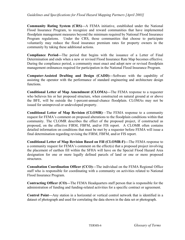**Community Rating System (CRS)—**A FEMA initiative, established under the National Flood Insurance Program, to recognize and reward communities that have implemented floodplain management measures beyond the minimum required by National Flood Insurance Program regulations. Under the CRS, those communities that choose to participate voluntarily may reduce the flood insurance premium rates for property owners in the community by taking these additional actions.

**Compliance Period—**The period that begins with the issuance of a Letter of Final Determination and ends when a new or revised Flood Insurance Rate Map becomes effective. During the compliance period, a community must enact and adopt new or revised floodplain management ordinances required for participation in the National Flood Insurance Program.

**Computer-Assisted Drafting and Design (CADD)—**Software with the capability of assisting the operator with the performance of standard engineering and architecture design functions.

**Conditional Letter of Map Amendment (CLOMA)—**The FEMA response to a requester who believes his or her proposed structure, when constructed on natural ground at or above the BFE, will be outside the 1-percent-annual-chance floodplain. CLOMAs may not be issued for unimproved or undeveloped property.

**Conditional Letter of Map Revision (CLOMR)**—The FEMA response to a community request for FEMA's comment on proposed alterations to the floodplain conditions within that community. The CLOMR describes the effect of the proposed project, if constructed as proposed, on the effective FIRM, FBFM, and/or FIS report. A CLOMR often contains detailed information on conditions that must be met by a requester before FEMA will issue a final determination regarding revising the FIRM, FBFM, and/or FIS report.

**Conditional Letter of Map Revision Based on Fill (CLOMR-F)—**The FEMA response to a community request for FEMA's comment on the effect(s) that a proposed project involving the placement of earthen fill within the SFHA will have on the Special Flood Hazard Area designation for one or more legally defined parcels of land or one or more proposed structures.

**Consultation Coordination Officer (CCO)—**The individual on the FEMA Regional Office staff who is responsible for coordinating with a community on activities related to National Flood Insurance Program.

**Contracting Officer (CO)—**The FEMA Headquarters staff person that is responsible for the administration of funding and funding-related activities for a specific contract or agreement.

**Control Point—**Any station in a horizontal or vertical control network that is identified in a dataset of photograph and used for correlating the data shown in the data set or photograph.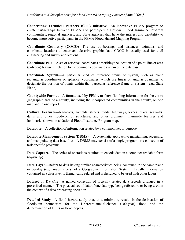**Cooperating Technical Partners (CTP) Initiative—**An innovative FEMA program to create partnerships between FEMA and participating National Flood Insurance Program communities, regional agencies, and State agencies that have the interest and capability to become more active participants in the FEMA Flood Hazard Mapping Program.

**Coordinate Geometry (COGO)—**The use of bearings and distances, azimuths, and coordinate locations to enter and describe graphic data. COGO is usually used for civil engineering and survey applications.

**Coordinate Pair—**A set of cartesian coordinates describing the location of a point, line or area (polygon) feature in relation to the common coordinate system of the data base.

**Coordinate System—**A particular kind of reference frame or system, such as plane rectangular coordinates or spherical coordinates, which use linear or angular quantities to designate the position of points within that particular reference frame or system (e.g., State Plane).

**Countywide Format—**A format used by FEMA to show flooding information for the entire geographic area of a county, including the incorporated communities in the county, on one map and in one report.

**Cultural Features—**Railroads, airfields, streets, roads, highways, levees, dikes, seawalls, dams and other flood-control structures, and other prominent manmade features and landmarks shown on a National Flood Insurance Program map.

**Database—**A collection of information related by a common fact or purpose.

**Database Management System (DBMS) —**A systematic approach to maintaining, accessing, and manipulating data base files. A DBMS may consist of a single program or a collection of task-specific programs.

**Data Capture**—The series of operations required to encode data in a computer-readable form (digitizing).

**Data Layer—**Refers to data having similar characteristics being contained in the same plane or overlay (e.g., roads, rivers) of a Geographic Information System. Usually information contained in a data layer is thematically related and is designed to be used with other layers.

**Dataset or Datafile—**A named collection of logically related data records arranged in a prescribed manner. The physical set of data of one data type being referred to or being used in the context of a data processing operation.

**Detailed Study**—A flood hazard study that, at a minimum, results in the delineation of floodplain boundaries for the 1-percent-annual-chance (100-year) flood and the determination of BFEs or flood depths.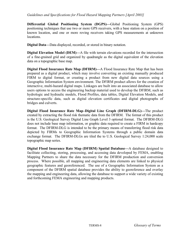**Differential Global Positioning System (DGPS)—**Global Positioning System (GPS) positioning techniques that use two or more GPS receivers, with a base station on a position of known location, and one or more roving receivers taking GPS measurements at unknown locations.

**Digital Data—**Data displayed, recorded, or stored in binary notation.

**Digital Elevation Model (DEM)—A** file with terrain elevations recorded for the intersection of a fine-grained grid and organized by quadrangle as the digital equivalent of the elevation data on a topographic base map.

**Digital Flood Insurance Rate Map (DFIRM)—**A Flood Insurance Rate Map that has been prepared as a digital product, which may involve converting an existing manually produced FIRM to digital format, or creating a product from new digital data sources using a Geographic Information System environment. The DFIRM product allows for the creation of interactive, multi-hazard digital maps. Linkages are built into an associated database to allow users options to access the engineering backup material used to develop the DFIRM, such as hydrologic and hydraulic models, Flood Profiles, data tables, Digital Elevation Models, and structure-specific data, such as digital elevation certificates and digital photographs of bridges and culverts.

**Digital Flood Insurance Rate Map–Digital Line Graph (DFIRM-DLG)—**The product created by extracting the flood risk thematic data from the DFIRM. The format of this product is the U.S. Geological Survey Digital Line Graph Level 3 optional format. The DFIRM-DLG does not include base map information, or graphic data required to create a FIRM in hardcopy format. The DFIRM-DLG is intended to be the primary means of transferring flood risk data depicted by FIRMs to Geographic Information Systems through a public domain data exchange format. The DFIRM-DLGs are tiled the to U.S. Geological Survey 1:24,000 scale topographic map series.

**Digital Flood Insurance Rate Map (DFIRM) Spatial Database—**A database designed to facilitate collecting, storing, processing, and accessing data developed by FEMA, enabling Mapping Partners to share the data necessary for the DFIRM production and conversion process. Where possible, all mapping and engineering data elements are linked to physical geographic features and georeferenced. The use of a Geographic Information System as a component of the DFIRM spatial database provides the ability to georeference and overlay the mapping and engineering data, allowing the database to support a wide variety of existing and forthcoming FEMA engineering and mapping products.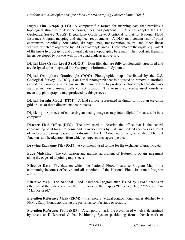**Digital Line Graph (DLG)—**A computer file format for mapping data that provides a topological structure to describe points, lines, and polygons. FEMA has adopted the U.S. Geological Survey (USGS) Digital Line Graph Level 3 optional format for National Flood Insurance Program mapping and engineer requirements. A DLG may contain lists of point coordinates describing boundaries, drainage lines, transportation routes, and other linear features, which are organized by USGS quadrangle areas. These data are the digital equivalent of the linear hydrographic and cultural data on a topographic base map. The flood risk thematic layers developed by FEMA will fit the quadrangle as an overlay.

**Digital Line Graph Level 3 (DLG-3)—**Data files that are fully topologically structured and are designed to be integrated into Geographic Information Systems.

**Digital Orthophoto Quadrangle (DOQ)—**Photographic maps distributed by the U.S. Geological Survey. A DOQ is an aerial photograph that is adjusted to remove distortions caused by variations in terrain and the camera lens to produce a photograph that displays features in their planimetrically correct location. This term is sometimes used loosely to mean any photographic map produced by this process.

**Digital Terrain Model (DTM)—A** land surface represented in digital form by an elevation grid or lists of three-dimensional coordinates.

**Digitizing—**A process of converting an analog image or map into a digital format usable by a computer.

**Disaster Field Office (DFO)**—The term used to describe the office that is the central coordinating point for all response and recovery efforts by State and Federal agencies as a result of widespread damage caused by a disaster. The DFO does not directly serve the public, but functions as a headquarters from which emergency managers operate.

**Drawing Exchange File (DXF)—A** commonly used format for the exchange of graphic data.

**Edge Matching—**The comparison and graphic adjustment of features to obtain agreement along the edges of adjoining map sheets.

**Effective Date—**The date on which the National Flood Insurance Program Map for a community becomes effective and all sanctions of the National Flood Insurance Program apply.

**Effective Map—**The National Flood Insurance Program map issued by FEMA that is in effect as of the date shown in the title block of the map as "Effective Date," "Revised," or "Map Revised."

**Elevation Reference Mark (ERM)** — Temporary vertical control monument established by a FEMA Study Contractor during the performance of a study or restudy.

**Elevation Reference Point (ERP)—**A temporary mark, the elevation of which is determined by levels or Differential Global Positioning System positioning from a bench mark or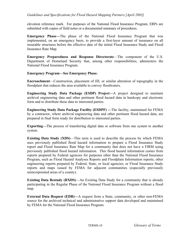elevation reference mark. For purposes of the National Flood Insurance Program, ERPs are submitted with copies of field notes or a documented summary of procedures.

**Emergency Phase—**The phase of the National Flood Insurance Program that was implemented, on an emergency basis, to provide a first-layer amount of insurance on all insurable structures before the effective date of the initial Flood Insurance Study and Flood Insurance Rate Map.

**Emergency Preparedness and Response Directorate**—The component of the U.S. Department of Homeland Security that, among other responsibilities, administers the National Flood Insurance Program.

#### **Emergency Program—See Emergency Phase.**

**Encroachment**—Construction, placement of fill, or similar alteration of topography in the floodplain that reduces the area available to convey floodwaters.

**Engineering Study Data Package (ESDP) Project—**A project designed to maintain archival engineering data and other pertinent flood hazard data in hardcopy and electronic form and to distribute these data to interested parties.

**Engineering Study Data Package Facility (ESDPF) —**The facility, maintained for FEMA by a contractor, where archival engineering data and other pertinent flood hazard data, are prepared in final form ready for distribution to interested parties.

**Exporting—**The process of transferring digital data or software from one system to another system.

**Existing Data Study (XDS)**—This term is used to describe the process by which FEMA uses previously published flood hazard information to prepare a Flood Insurance Study report and Flood Insurance Rate Map for a community that does not have a FIRM using previously published flood hazard information. This flood hazard information comes from reports prepared by Federal agencies for purposes other than the National Flood Insurance Program, such as Flood Hazard Analyses Reports and Floodplain Information reports; other engineering reports prepared by Federal, State, or local agencies; or Flood Insurance Study reports and maps issued by FEMA for adjacent communities (especially previously unincorporated areas of a county).

**Existing Data Restudy (RXDS)**—An Existing Data Study for a community that is already participating in the Regular Phase of the National Flood Insurance Program without a flood map.

**External Data Request (EDR)—A** request from a State, community, or other non-FEMA source for the archived technical and administrative support data developed and maintained by FEMA for the National Flood Insurance Program.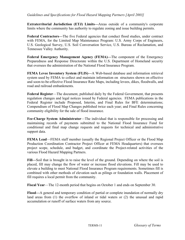**Extraterritorial Jurisdiction (ETJ) Limits—**Areas outside of a community's corporate limits where the community has authority to regulate zoning and issue building permits.

**Federal Contractors—**The five Federal agencies that conduct flood studies, under contract with FEMA, for the Limited Map Maintenance Program: U.S. Army Corps of Engineers, U.S. Geological Survey, U.S. Soil Conversation Service, U.S. Bureau of Reclamation, and Tennessee Valley Authority.

**Federal Emergency Management Agency (FEMA)—**The component of the Emergency Preparedness and Response Directorate within the U.S. Department of Homeland security that oversees the administration of the National Flood Insurance Program.

**FEMA Levee Inventory System (FLIS)—**A Web-based database and information retrieval system used by FEMA to collect and maintain information on structures shown on effective and soon-to-be-effective Flood Insurance Rate Maps, including levees, dikes, floodwalls, and road and railroad embankments.

**Federal Register**—The document, published daily by the Federal Government, that presents regulation changes and legal notices issued by Federal agencies. FEMA publications in the Federal Register include Proposed, Interim, and Final Rules for BFE determinations; Compendium of Flood Map Changes published twice each year; and Final Rules concerning community eligibility for the sale of flood insurance.

**Fee-Charge System Administrator**—The individual that is responsible for processing and maintaining records of payments submitted to the National Flood Insurance Fund for conditional and final map change requests and requests for technical and administrative support data.

**FEMA Lead**—FEMA staff member (usually the Regional Project Officer or the Flood Map Production Coordination Contractor Project Officer at FEMA Headquarters) that oversees project scope, schedule, and budget, and coordinate the Project-related activities of the various Flood Hazard Mapping Partners.

**Fill—**Soil that is brought in to raise the level of the ground. Depending on where the soil is placed, fill may change the flow of water or increase flood elevations. Fill may be used to elevate a building to meet National Flood Insurance Program requirements. Sometimes fill is combined with other methods of elevation such as pilings or foundation walls. Placement of fill requires a local permit from the community.

**Fiscal Year**—The 12-month period that begins on October 1 and ends on September 30.

**Flood—**A general and temporary condition of partial or complete inundation of normally dry land areas from (1) the overflow of inland or tidal waters or (2) the unusual and rapid accumulation or runoff of surface waters from any source.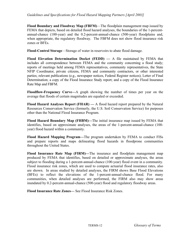**Flood Boundary and Floodway Map (FBFM)**—The floodplain management map issued by FEMA that depicts, based on detailed flood hazard analyses, the boundaries of the 1-percentannual-chance (100-year) and the 0.2-percent-annual-chance (500-year) floodplains and, when appropriate, the regulatory floodway. The FBFM does not show flood insurance risk zones or BFEs.

**Flood-Control Storage**—Storage of water in reservoirs to abate flood damage.

**Flood Elevation Determination Docket (FEDD) —** A file maintained by FEMA that includes all correspondence between FEMA and the community concerning a flood study; reports of meetings held among FEMA representatives, community representatives, the State NFIP Coordinator, private citizens, FEMA and community contractors, or other interested parties; relevant publications (e.g., newspaper notices, Federal Register notices); Letter of Final Determination; a copy of the Flood Insurance Study report; and a copy of the Flood Insurance Rate Map and FBFM.

**Floodflow-Frequency Curve—**A graph showing the number of times per year on the average that floods of certain magnitudes are equaled or exceeded.

**Flood Hazard Analyses Report (FHAR) —** A flood hazard report prepared by the Natural Resources Conservation Service (formerly, the U.S. Soil Conservation Service) for purposes other than the National Flood Insurance Program.

**Flood Hazard Boundary Map (FHBM)—**The initial insurance map issued by FEMA that identifies, based on approximate analyses, the areas of the 1-percent-annual-chance (100 year) flood hazard within a community.

**Flood Hazard Mapping Program—**The program undertaken by FEMA to conduct FISs and prepare reports and maps delineating flood hazards in floodprone communities throughout the United States.

**Flood Insurance Rate Map (FIRM)—**The insurance and floodplain management map produced by FEMA that identifies, based on detailed or approximate analyses, the areas subject to flooding during a 1-percent-annual-chance (100-year) flood event in a community. Flood insurance risk zones, which are used to compute actuarial flood insurance rates, also are shown. In areas studied by detailed analyses, the FIRM shows Base Flood Elevations (BFEs) to reflect the elevations of the 1-percent-annual-chance flood. For many communities, when detailed analyses are performed, the FIRM also may show areas inundated by 0.2-percent-annual-chance (500-year) flood and regulatory floodway areas.

**Flood Insurance Rate Zones—** See Flood Insurance Risk Zones.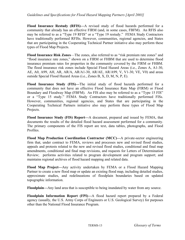**Flood Insurance Restudy (RFIS)—**A revised study of flood hazards performed for a community that already has an effective FIRM (and, in some cases, FBFM). An RFIS also may be referred to as a "Type 19 RFIS" or a "Type 19 restudy." FEMA Study Contractors have traditionally performed RFISs. However, communities, regional agencies, and States that are participating in the Cooperating Technical Partner initiative also may perform these types of Flood Map Projects.

**Flood Insurance Risk Zones**—The zones, also referred to as "risk premium rate zones" and "flood insurance rate zones," shown on a FIRM or FHBM that are used to determine flood insurance premium rates for properties in the community covered by the FIRM or FHBM. The flood insurance risk zones include Special Flood Hazard Areas (i.e., Zones A, A1-30, AE, A0, A99, AH, AR, AR/A, AR/A1-30, AR/AE, AR/A99, V, V1-30, VE, V0) and areas outside Special Flood Hazard Areas (i.e., Zones B, X, D, M, N, P, E).

**Flood Insurance Study (FIS)—**The initial study of flood hazards performed for a community that does not have an effective Flood Insurance Rate Map (FIRM) or Flood Boundary and Floodway Map (FBFM). An FIS also may be referred to as a "Type 15 FIS" or a "Type 15 study." FEMA Study Contractors have traditionally performed FISs. However, communities, regional agencies, and States that are participating in the Cooperating Technical Partners initiative also may perform these types of Flood Map Projects.

**Flood Insurance Study (FIS) Report—**A document, prepared and issued by FEMA, that documents the results of the detailed flood hazard assessment performed for a community. The primary components of the FIS report are text, data tables, photographs, and Flood Profiles.

**Flood Map Production Coordination Contractor (MCC)—**A private-sector engineering firm that, under contract to FEMA, reviews and processes new and revised flood studies, appeals and protests related to the new and revised flood studies, conditional and final map amendments, conditional and final map revisions, and requests for Letters of Determination Review; performs activities related to program development and program support; and maintains regional archives of flood hazard mapping and related data.

**Flood Map Project—**Any activity undertaken by FEMA or a Flood Hazard Mapping Partner to create a new flood map or update an existing flood map, including detailed studies, approximate studies, and redelineations of floodplain boundaries based on updated topographic information.

**Floodplain—**Any land area that is susceptible to being inundated by water from any source.

**Floodplain Information Report (FPI)—**A flood hazard report prepared by a Federal agency (usually, the U.S. Army Corps of Engineers or U.S. Geological Survey) for purposes other than the National Flood Insurance Program.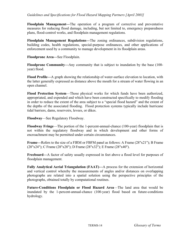**Floodplain Management—**The operation of a program of corrective and preventative measures for reducing flood damage, including, but not limited to, emergency preparedness plans, flood-control works, and floodplain management regulations.

**Floodplain Management Regulations—**The zoning ordinances, subdivision regulations, building codes, health regulations, special-purpose ordinances, and other applications of enforcement used by a community to manage development in its floodplain areas.

**Floodprone Area—**See Floodplain.

**Floodprone Community—**Any community that is subject to inundation by the base (100 year) flood.

**Flood Profile—**A graph showing the relationship of water-surface elevation to location, with the latter generally expressed as distance above the mouth for a stream of water flowing in an open channel.

**Flood Protection System**—Those physical works for which funds have been authorized, appropriated, and expended and which have been constructed specifically to modify flooding in order to reduce the extent of the area subject to a "special flood hazard" and the extent of the depths of the associated flooding. Flood protection systems typically include hurricane tidal barriers, dams, reservoirs, levees, or dikes.

**Floodway**—See Regulatory Floodway.

**Floodway Fringe**—The portion of the 1-percent-annual-chance (100-year) floodplain that is not within the regulatory floodway and in which development and other forms of encroachment may be permitted under certain circumstances.

**Frame—**Refers to the size of a FIRM or FBFM panel as follows: A Frame (28"x21"); B Frame (28"x24"); C Frame (28"x28"); D Frame (28"x32"); E Frame (28"x40").

**Freeboard—**A factor of safety usually expressed in feet above a flood level for purposes of floodplain management.

**Fully Analytical Aerial Triangulation (FAAT)—**A process for the extension of horizontal and vertical control whereby the measurements of angles and/or distances on overlapping photographs are related into a spatial solution using the perspective principles of the photographs, obtained totally by computational routines.

**Future-Conditions Floodplain or Flood Hazard Area**—The land area that would be inundated by the 1-percent-annual-chance (100-year) flood based on future-conditions hydrology.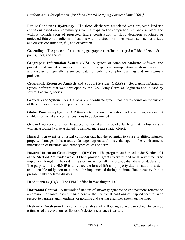**Future-Conditions Hydrology**—The flood discharges associated with projected land-use conditions based on a community's zoning maps and/or comprehensive land-use plans and without consideration of projected future construction of flood detention structures or projected future hydraulic modifications within a stream or other waterway, such as bridge and culvert construction, fill, and excavation.

**Geocoding—**The process of associating geographic coordinates or grid cell identifiers to data, points, lines, and shapes.

**Geographic Information System (GIS)—**A system of computer hardware, software, and procedures designed to support the capture, management, manipulation, analysis, modeling, and display of spatially referenced data for solving complex planning and management problems.

**Geographic Resources Analysis and Support System (GRASS)—**Geographic Information System software that was developed by the U.S. Army Corps of Engineers and is used by several Federal agencies.

**Georeference System—**An X,Y or X,Y,Z coordinate system that locates points on the surface of the earth as a reference to points on a map.

**Global Positioning System (GPS)—**A satellite-based navigation and positioning system that enables horizontal and vertical positions to be determined

**Grid—**A network of uniformly spaced horizontal and perpendicular lines that enclose an area with an associated value assigned. A defined aggregate spatial object.

**Hazard**—An event or physical condition that has the potential to cause fatalities, injuries, property damage, infrastructure damage, agricultural loss, damage to the environment, interruption of business, and other types of loss or harm.

**Hazard Mitigation Grant Program (HMGP)**—The program, authorized under Section 404 of the Stafford Act, under which FEMA provides grants to States and local governments to implement long-term hazard mitigation measures after a presidential disaster declaration. The purpose of the HMGP is to reduce the loss of life and property due to natural disasters and to enable mitigation measures to be implemented during the immediate recovery from a presidentially declared disaster.

**Headquarters (HQ) —**The FEMA office in Washington, DC.

**Horizontal Control—**A network of stations of known geographic or grid positions referred to a common horizontal datum, which control the horizontal positions of mapped features with respect to parallels and meridians, or northing and easting grid lines shown on the map.

**Hydraulic Analysis—**An engineering analysis of a flooding source carried out to provide estimates of the elevations of floods of selected recurrence intervals**.**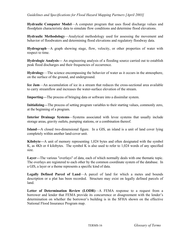**Hydraulic Computer Model**—A computer program that uses flood discharge values and floodplain characteristic data to simulate flow conditions and determine flood elevations.

**Hydraulic Methodology**—Analytical methodology used for assessing the movement and behavior of floodwaters and determining flood elevations and regulatory floodway data.

**Hydrograph**—A graph showing stage, flow, velocity, or other properties of water with respect to time.

**Hydrologic Analysis—** An engineering analysis of a flooding source carried out to establish peak flood discharges and their frequencies of occurrence.

**Hydrology**—The science encompassing the behavior of water as it occurs in the atmosphere, on the surface of the ground, and underground.

**Ice Jam**—An accumulation of ice in a stream that reduces the cross-sectional area available to carry streamflow and increases the water-surface elevation of the stream.

**Importing—**The process of bringing data or software into a dissimilar system.

**Initializing—**The process of setting program variables to their starting values, commonly zero, at the beginning of a program.

**Interior Drainage Systems**—Systems associated with levee systems that usually include storage areas, gravity outlets, pumping stations, or a combination thereof.

**Island—**A closed two-dimensional figure. In a GIS, an island is a unit of land cover lying completely within another land-cover unit.

**Kilobyte—**A unit of memory representing 1,024 bytes and often designated with the symbol K, as 4Kb or 4 kilobytes. The symbol K is also used to refer to 1,024 words of any specified size.

**Layer—**The various "overlays" of data, each of which normally deals with one thematic topic. The overlays are registered to each other by the common coordinate system of the database. In a GIS, a layer or a theme represents a specific kind of data.

**Legally Defined Parcel of Land**—A parcel of land for which a metes and bounds description or a plat has been recorded. Structure may exist on legally defined parcels of land.

**Letter of Determination Review (LODR)**—A FEMA response to a request from a borrower and lender that FEMA provide its concurrence or disagreement with the lender's determination on whether the borrower's building is in the SFHA shown on the effective National Flood Insurance Program map.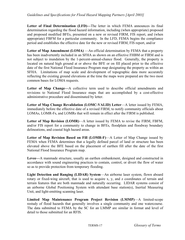Letter of Final Determination (LFD)—The letter in which FEMA announces its final determination regarding the flood hazard information, including (when appropriate) proposed and proposed modified BFEs, presented on a new or revised FIRM, FIS report, and (when appropriate) FBFM for a particular community. In the LFD, FEMA begins the compliance period and establishes the effective date for the new or revised FIRM, FIS report, and/or

**Letter of Map Amendment (LOMA)** —An official determination by FEMA that a property has been inadvertently included in an SFHA as shown on an effective FHBM or FIRM and is not subject to inundation by the 1-percent-annual-chance flood. Generally, the property is located on natural high ground at or above the BFE or on fill placed prior to the effective date of the first National Flood Insurance Program map designating the property as within an SFHA. Limitations of map scale and development of topographic data more accurately reflecting the existing ground elevations at the time the maps were prepared are the two most common bases for LOMA requests.

Letter of Map Change—A collective term used to describe official amendments and revisions to National Flood Insurance maps that are accomplished by a cost-effective administrative procedure and disseminated by letter.

**Letter of Map Change Revalidation (LOMC-VALID) Letter**—A letter issued by FEMA, immediately before the effective date of a revised FIRM, to notify community officials about LOMAs, LOMR-Fs, and LOMRs that will remain in effect after the FIRM is published.

**Letter of Map Revision (LOMR)**—A letter issued by FEMA to revise the FIRM, FBFM, and/or FIS report for a community to change in BFEs, floodplain and floodway boundary delineations, and coastal high hazard areas.

**Letter of Map Revision Based on Fill (LOMR-F)**—A Letter of Map Change issued by FEMA when FEMA determines that a legally defined parcel of land or structure has been elevated above the BFE based on the placement of earthen fill after the date of the first National Flood Insurance Program map.

**Levee—**A manmade structure, usually an earthen embankment, designed and constructed in accordance with sound engineering practices to contain, control, or divert the flow of water so as to provide protection from temporary flooding.

**Light Detection and Ranging (LIDAR) System**—An airborne laser system, flown aboard rotary or fixed-wing aircraft, that is used to acquire x, y, and z coordinates of terrain and terrain features that are both manmade and naturally occurring. LIDAR systems consist of an airborne Global Positioning System with attendant base station(s), Inertial Measuring Unit, and light-emitting scanning laser.

**Limited Map Maintenance Program Project Revision (LMMP)**—A limited-scope restudy of flood hazards that generally involves a single community and one watercourse. The data submitted to FEMA by the SC for an LMMP are similar in format and level of detail to those submitted for an RFIS.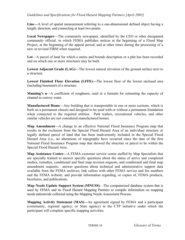**Line—**A level of spatial measurement referring to a one-dimensional defined object having a length, direction, and connecting at least two points.

**Local Newspaper**—The community newspaper, identified by the CEO or other designated community official, in which FEMA publishes notices at the beginning of a Flood Map Project, at the beginning of the appeal period, and at other times during the processing of a new or revised FIRM when required.

**Lot**—A parcel of land for which a metes and bounds description or a plat has been recorded and on which one or more structures may be built.

**Lowest Adjacent Grade (LAG)—**The lowest natural elevation of the ground surface next to a structure.

**Lowest Finished Floor Elevation (LFFE)—**The lowest floor of the lowest enclosed area (including basement) of a structure.

**Manning's n**—A coefficient of roughness, used in a formula for estimating the capacity of channel to convey water.

**Manufactured Home**—Any building that is transportable in one or more sections, which is built on a permanent chassis and designed to be used with or without a permanent foundation when connected to the required utilities. Park trailers, recreational vehicles, and other similar vehicles are not considered manufactured homes.

**Map Amendment—**A change to an effective National Flood Insurance Program map that results in the exclusion from the Special Flood Hazard Area of an individual structure or legally defined parcel of land that has been inadvertently included in the Special Flood Hazard Area (i.e., no alterations of topography have occurred since the date of the first National Flood Insurance Program map that showed the structure or parcel to be within the Special Flood Hazard Area.

**Map Assistance Center—**A FEMA customer service center staffed by Map Specialists that are specially trained to answer specific questions about the status of active and completed studies, restudies, conditional and final map revision requests, and conditional and final map amendment requests; answer questions about technical and administrative support data available from the FEMA archives; link callers with other FEMA service and fax numbers and the FEMA website; and provide information regarding, or copies of, FEMA products, brochures, and publications.

**Map Needs Update Support System (MNUSS)**—The computerized database system that is used by FEMA and its Flood Hazard Mapping Partners to compile information on mapping needs nationwide collected using the Mapping Needs Assessment Process.

**Mapping Activity Statement (MAS)—**An agreement signed by FEMA and a participant (community, regional agency, or State agency) in the CTP initiative under which the participant will complete specific mapping activities.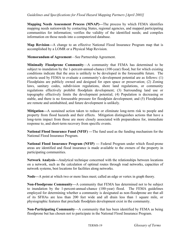**Mapping Needs Assessment Process (MNAP)—**The process by which FEMA identifies mapping needs nationwide by contacting States, regional agencies, and mapped participating communities for information; verifies the validity of the identified needs; and compiles information on those needs into a computerized database.

**Map Revision—**A change to an effective National Flood Insurance Program map that is accomplished by a LOMR or a Physical Map Revision.

**Memorandum of Agreement**—See Partnership Agreement.

**Minimally Floodprone Community**—A community that FEMA has determined to be subject to inundation by the 1-percent-annual-chance (100-year) flood, but for which existing conditions indicate that the area is unlikely to be developed in the foreseeable future. The criteria used by FEMA to evaluate a community's development potential are as follows: (1) Floodplains are publicly owned and designed for open space or preservation; (2) Zoning laws, sanitary codes, subdivision regulations, shore land regulations, or community regulations effectively prohibit floodplain development; (3) Surrounding land use or topography effectively limits the development potential; (4) Population is decreasing or stable, and there is no foreseeable pressure for floodplain development; and (5) Floodplains are remote and uninhabited, and future development is unlikely.

**Mitigation—**A sustained action taken to reduce or eliminate long-term risk to people and property from flood hazards and their effects. Mitigation distinguishes actions that have a long-term impact from those are more closely associated with preparedness for, immediate response to, and short-term recovery from specific events.

**National Flood Insurance Fund (NFIF) —**The fund used as the funding mechanism for the National Flood Insurance Program.

**National Flood Insurance Program (NFIP) —** Federal Program under which flood-prone areas are identified and flood insurance is made available to the owners of the property in participating communities.

**Network Analysis—**Analytical technique concerned with the relationships between locations on a network, such as the calculation of optimal routes through road networks, capacities of network systems, best locations for facilities along networks.

**Node—**A point at which two or more lines meet; called an edge or vertex in graph theory.

**Non-Floodprone Community—**A community that FEMA has determined not to be subject to inundation by the 1-percent-annual-chance (100-year) flood. The FEMA guidelines employed for determining whether a community is designated as non-floodprone are that all of its SFHAs are less than 200 feet wide and all drain less than 1 square mile, or physiographic features that preclude floodplain development exist in the community.

**Non-Participating Community**—A community that has been identified by FEMA as being floodprone but has chosen not to participate in the National Flood Insurance Program.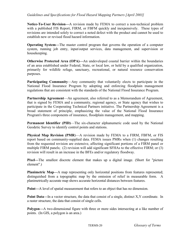**Notice-To-User Revision—**A revision made by FEMA to correct a non-technical problem with a published FIS Report, FIRM, or FBFM quickly and inexpensively. These types of revisions are intended solely to correct a noted defect with the product and cannot be used to establish new or revised flood hazard information.

**Operating System—**The master control program that governs the operation of a computer system, running job entry, input/output services, data management, and supervision or housekeeping.

**Otherwise Protected Area (OPA)—**An undeveloped coastal barrier within the boundaries of an area established under Federal, State, or local law, or held by a qualified organization, primarily for wildlife refuge, sanctuary, recreational, or natural resource conservation purposes.

**Participating Community**—Any community that voluntarily elects to participate in the National Flood Insurance Program by adopting and enforcing floodplain management regulations that are consistent with the standards of the National Flood Insurance Program.

**Partnership Agreement**—An agreement, also referred to as a Memorandum of Agreement, that is signed by FEMA and a community, regional agency, or State agency that wishes to participate in the Cooperating Technical Partners initiative. The Partnership Agreement is a broad statement of principle, emphasizing the value of the National Flood Insurance Program's three components of insurance, floodplain management, and mapping.

**Permanent Identifier (PID)**—The six-character alphanumeric code used by the National Geodetic Survey to identify control points and stations.

**Physical Map Revision (PMR**)—A revision made by FEMA to a FIRM, FBFM, or FIS report based on community-supplied data. FEMA issues PMRs when (1) changes resulting from the requested revision are extensive, affecting significant portions of a FIRM panel or multiple FIRM panels; (2) revision will add significant SFHAs to the effective FIRM; or (3) revision will result in an increase in the BFEs and/or regulatory floodway.

**Pixel—**The smallest discrete element that makes up a digital image. (Short for "picture element".)

**Planimetric Map—A** map representing only horizontal positions from features represented; distinguished from a topographic map by the omission of relief in measurable form. A planimetrically accurate map shows accurate horizontal distances between features.

**Point—**A level of spatial measurement that refers to an object that has no dimension.

**Point Data—In a vector structure, the data that consist of a single, distinct X, Y coordinate. In** a raster structure, the data that consist of single cells.

**Polygon—**A two-dimensional figure with three or more sides intersecting at a like number of points. (In GIS, a polygon is an area.)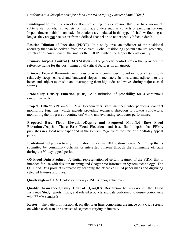**Ponding—**The result of runoff or flows collecting in a depression that may have no outlet, subterranean outlets, rim outlets, or manmade outlets such as culverts or pumping stations. Impoundments behind manmade obstructions are included in this type of shallow flooding as long as they are not backwater from a defined channel or do not exceed 3.0 feet in depth.

**Position Dilution of Precision (PDOP)—In a study area, an indicator of the positional** accuracy that can be derived from the current Global Positioning System satellite geometry, which varies continuously; the smaller the PDOP number, the higher the data quality.

**Primary Airport Control (PAC) Stations**—The geodetic control station that provides the reference frame for the positioning of all critical features on an airport.

**Primary Frontal Dune—A** continuous or nearly continuous mound or ridge of sand with relatively steep seaward and landward slopes immediately landward and adjacent to the beach and subject to erosion and overtopping from high tides and waves during major coastal storms.

**Probability Density Function (PDF)—A** distribution of probability for a continuous random variable.

**Project Officer (PO)—**A FEMA Headquarters staff member who performs contract monitoring functions, which include providing technical direction to FEMA contractors, monitoring the progress of contractors' work, and evaluating contractor performance.

**Proposed Base Flood Elevations/Depths and Proposed Modified Base Flood Elevations/Depths**—Those Base Flood Elevations and base flood depths that FEMA publishes in a local newspaper and in the *Federal Register* at the start of the 90-day appeal period.

**Protest**—An objection to any information, other than BFEs, shown on an NFIP map that is submitted by community officials or interested citizens through the community officials during the 90-day appeal period.

**Q3 Flood Data Product**—A digital representation of certain features of the FIRM that is intended for use with desktop mapping and Geographic Information System technology. The Q3 Flood Data product is created by scanning the effective FIRM paper maps and digitizing selected features and lines.

**Quadrangle—**A U.S. Geological Survey (USGS) topographic map;

**Quality Assurance/Quality Control (QA/QC) Reviews—**The reviews of the Flood Insurance Study reports, maps, and related products and data performed to ensure compliance with FEMA standards.

**Raster—**The pattern of horizontal, parallel scan lines comprising the image on a CRT screen, on which each scan line consists of segments varying in intensity.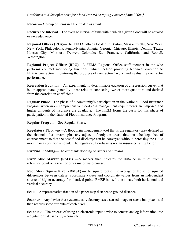**Record—**A group of items in a file treated as a unit.

**Recurrence Interval**—The average interval of time within which a given flood will be equaled or exceeded once.

**Regional Offices (ROs)—**The FEMA offices located in Boston, Massachusetts; New York, New York; Philadelphia, Pennsylvania; Atlanta, Georgia; Chicago, Illinois; Denton, Texas; Kansas City, Missouri; Denver, Colorado; San Francisco, California; and Bothell, Washington.

**Regional Project Officer (RPO)—**A FEMA Regional Office staff member in the who performs contract monitoring functions, which include providing technical direction to FEMA contractors, monitoring the progress of contractors' work, and evaluating contractor performance.

**Regression Equation—**An experimentally determinable equation of a regression curve; that is, an approximate, generally linear relation connecting two or more quantities and derived from the correlation coefficient.

**Regular Phase—**The phase of a community's participation in the National Flood Insurance Program when more comprehensive floodplain management requirements are imposed and higher amounts of insurance are available. The FIRM forms the basis for this phase of participation in the National Flood Insurance Program.

**Regular Program—**See Regular Phase.

**Regulatory Floodway—**A floodplain management tool that is the regulatory area defined as the channel of a stream, plus any adjacent floodplain areas, that must be kept free of encroachment so that the base flood discharge can be conveyed without increasing the BFEs more than a specified amount. The regulatory floodway is not an insurance rating factor.

**Riverine Flooding—**The overbank flooding of rivers and streams.

**River Mile Marker (RMM) —**A marker that indicates the distance in miles from a reference point on a river or other major watercourse.

**Root Mean Square Error (RMSE) —**The square root of the average of the set of squared differences between dataset coordinate values and coordinate values from an independent source of higher accuracy for identical points RMSE is used to estimate both horizontal and vertical accuracy.

**Scale—**A representative fraction of a paper map distance to ground distance.

**Scanner—**Any device that systematically decomposes a sensed image or scene into pixels and then records some attribute of each pixel.

**Scanning—**The process of using an electronic input device to convert analog information into a digital format usable by a computer.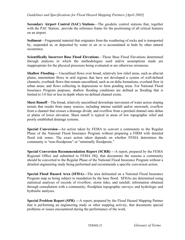**Secondary Airport Control (SAC) Stations**—The geodetic control stations that, together with the PAC Station, provide the reference frame for the positioning of all critical features on an airport.

**Sediment**—Fragmental material that originates from the weathering of rocks and is transported by, suspended in, or deposited by water or air or is accumulated in beds by other natural occurrence.

**Scientifically Incorrect Base Flood Elevations**—Those Base Flood Elevations determined through analyses in which the methodologies used and/or assumptions made are inappropriate for the physical processes being evaluated or are otherwise erroneous.

**Shallow Flooding—** Unconfined flows over broad, relatively low relief areas, such as alluvial plains; intermittent flows in arid regions that have not developed a system of well-defined channels; overbank flows that remain unconfined, such as on delta formations; overland flow in urban areas; and flows collecting in depressions to form ponding areas. For National Flood Insurance Program purposes, shallow flooding conditions are defined as flooding that is limited to 3.0 feet or less in depth where no defined channel exists.

**Sheet Runoff**—The broad, relatively unconfined downslope movement of water across sloping terrain that results from many sources, including intense rainfall and/or snowmelt, overflow from a channel that crosses a drainage divide, and overflow from a perched channel onto deltas or plains of lower elevation. Sheet runoff is typical in areas of low topographic relief and poorly established drainage systems.

**Special Conversion—**An action taken by FEMA to convert a community to the Regular Phase of the National Flood Insurance Program without preparing a FIRM with detailed flood risk zones. The exact action taken depends on whether FEMA determines the community is "non-floodprone" or "minimally floodprone."

**Special Conversion Recommendation Report (SCRR) —**A report, prepared by the FEMA Regional Office and submitted to FEMA HQ, that documents the reasons a community should be converted to the Regular Phase of the National Flood Insurance Program without a detailed engineering study being performed and recommends a specific conversion action.

**Special Flood Hazard Area (SFHA)—**The area delineated on a National Flood Insurance Program map as being subject to inundation by the base flood. SFHAs are determined using statistical analyses of records of riverflow, storm tides, and rainfall; information obtained through consultation with a community; floodplain topographic surveys; and hydrologic and hydraulic analyses.

**Special Problem Report (SPR) —**A report, prepared by the Flood Hazard Mapping Partner that is performing an engineering study or other mapping activity, that documents special problems or issues encountered during the performance of the work.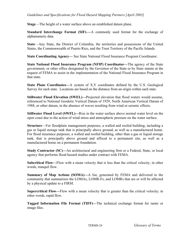**Stage**—The height of a water surface above an established datum plane.

**Standard Interchange Format (SIF)—**-A commonly used format for the exchange of alphanumeric data.

**State**—Any State, the District of Columbia, the territories and possessions of the United States, the Commonwealth of Puerto Rico, and the Trust Territory of the Pacific Islands.

**State Coordinating Agency—** See State National Flood Insurance Program Coordinator.

**State National Flood Insurance Program (NFIP) Coordinator—**The agency of the State government, or other office designated by the Governor of the State or by State statute at the request of FEMA to assist in the implementation of the National Flood Insurance Program in that state.

**State Plane Coordinates—**A system of X,Y coordinates defined by the U.S. Geological Survey for each state. Locations are based on the distance from an origin within each state.

**Stillwater Flood Elevation (SWEL)—**Projected elevation that flood waters would assume, referenced to National Geodetic Vertical Datum of 1929, North American Vertical Datum of 1988, or other datum, in the absence of waves resulting from wind or seismic effects.

**Stillwater Flood Level (SWFL)—Rise in the water surface above normal water level on the** open coast due to the action of wind stress and atmospheric pressure on the water surface.

**Structure**—For floodplain management purposes, a walled and roofed building, including a gas or liquid storage tank that is principally above ground, as well as a manufactured home. For flood insurance purposes, a walled and roofed building, other than a gas or liquid storage tank, that is principally above ground and affixed to a permanent site, as well as a manufactured home on a permanent foundation.

**Study Contractor (SC)—An architectural and engineering firm or a Federal, State, or local** agency that performs flood hazard studies under contract with FEMA.

**Subcritical Flow—**Flow with a mean velocity that is less than the critical velocity; in other words, tranquil flow.

**Summary of Map Actions (SOMA)—**A list, generated by FEMA and delivered to the community that summarizes the LOMAs, LOMR-Fs, and LOMRs that are or will be affected by a physical update to a FIRM.

**Supercritical Flow—**Flow with a mean velocity that is greater than the critical velocity; in other words, rapid flow.

**Tagged Information File Format (TIFF)—**The technical exchange format for raster or image files.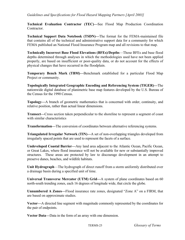**Technical Evaluation Contractor (TEC)—**See Flood Map Production Coordination **Contractor** 

**Technical Support Data Notebook (TSDN)—**The format for the FEMA-maintained file that contains all of the technical and administrative support data for a community for which FEMA published an National Flood Insurance Program map and all revisions to that map.

**Technically Incorrect Base Flood Elevations (BFEs)/Depths**—Those BFEs and base flood depths determined through analyses in which the methodologies used have not been applied properly, are based on insufficient or poor-quality data, or do not account for the effects of physical changes that have occurred in the floodplain.

**Temporary Bench Mark (TBM)—**Benchmark established for a particular Flood Map Project or community.

**Topologically Integrated Geographic Encoding and Referencing System (TIGER)—**The nationwide digital database of planimetric base map features developed by the U.S. Bureau of the Census for the 1990 Census.

**Topology—**A branch of geometric mathematics that is concerned with order, continuity, and relative position, rather than actual linear dimensions.

**Transect—**Cross section taken perpendicular to the shoreline to represent a segment of coast with similar characteristics

**Transformation—**The conversion of coordinates between alternative referencing systems.

**Triangulated Irregular Network (TIN)—**A set of non-overlapping triangles developed from irregularly spaced points that are used to represent the facets of a surface.

**Undeveloped Coastal Barrier—**Any land area adjacent to the Atlantic Ocean, Pacific Ocean, or Great Lakes, where flood insurance will not be available for new or substantially improved structures. These areas are protected by law to discourage development in an attempt to preserve dunes, beaches, and wildlife habitats.

**Unit Hydrograph**—The hydrograph of direct runoff from a storm uniformly distributed over a drainage basin during a specified unit of time.

**Universal Transverse Mercator (UTM) Grid—**A system of plane coordinates based on 60 north-south trending zones, each 16 degrees of longitude wide, that circle the globe.

**Unnumbered A Zones—**Flood insurance rate zones, designated "Zone A" on a FIRM, that are based on approximate studies.

**Vector—**A directed line segment with magnitude commonly represented by the coordinates for the pair of endpoints.

**Vector Data—**Data in the form of an array with one dimension.